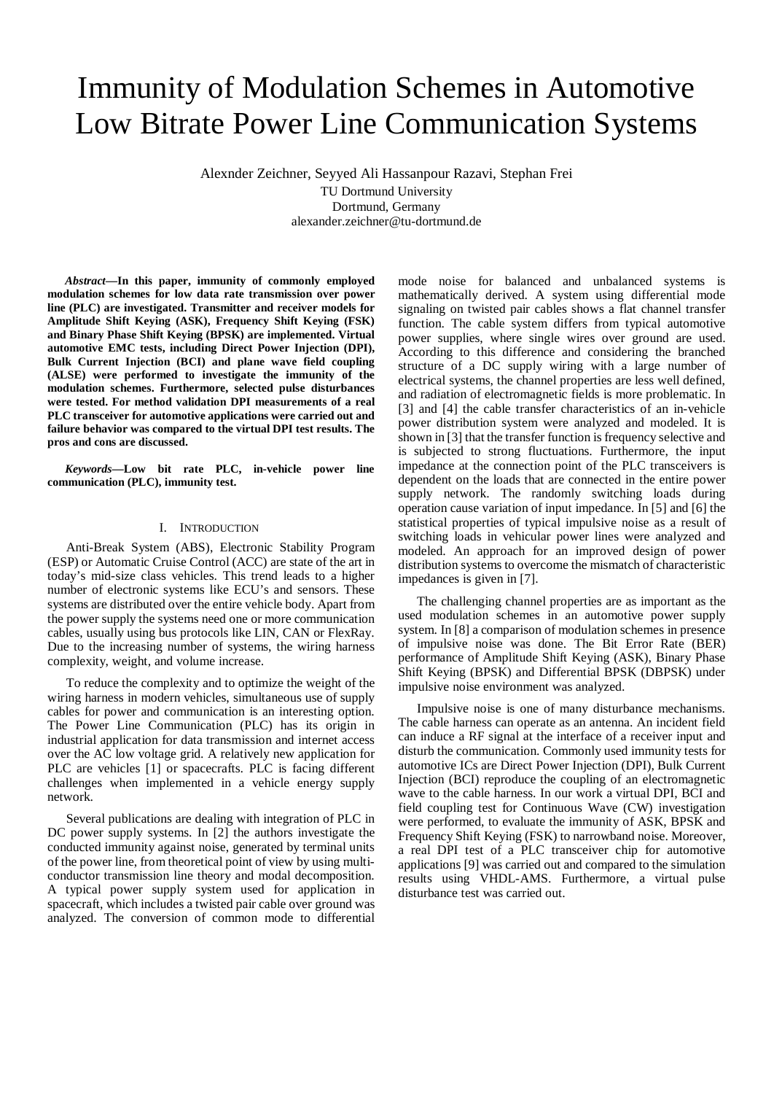# Immunity of Modulation Schemes in Automotive Low Bitrate Power Line Communication Systems

Alexnder Zeichner, Seyyed Ali Hassanpour Razavi, Stephan Frei

TU Dortmund University Dortmund, Germany alexander.zeichner@tu-dortmund.de

*Abstract***—In this paper, immunity of commonly employed modulation schemes for low data rate transmission over power line (PLC) are investigated. Transmitter and receiver models for Amplitude Shift Keying (ASK), Frequency Shift Keying (FSK) and Binary Phase Shift Keying (BPSK) are implemented. Virtual automotive EMC tests, including Direct Power Injection (DPI), Bulk Current Injection (BCI) and plane wave field coupling (ALSE) were performed to investigate the immunity of the modulation schemes. Furthermore, selected pulse disturbances were tested. For method validation DPI measurements of a real PLC transceiver for automotive applications were carried out and failure behavior was compared to the virtual DPI test results. The pros and cons are discussed.** 

*Keywords—***Low bit rate PLC, in-vehicle power line communication (PLC), immunity test.**

#### I. INTRODUCTION

Anti-Break System (ABS), Electronic Stability Program (ESP) or Automatic Cruise Control (ACC) are state of the art in today's mid-size class vehicles. This trend leads to a higher number of electronic systems like ECU's and sensors. These systems are distributed over the entire vehicle body. Apart from the power supply the systems need one or more communication cables, usually using bus protocols like LIN, CAN or FlexRay. Due to the increasing number of systems, the wiring harness complexity, weight, and volume increase.

To reduce the complexity and to optimize the weight of the wiring harness in modern vehicles, simultaneous use of supply cables for power and communication is an interesting option. The Power Line Communication (PLC) has its origin in industrial application for data transmission and internet access over the AC low voltage grid. A relatively new application for PLC are vehicles [\[1\]](#page-5-0) or spacecrafts. PLC is facing different challenges when implemented in a vehicle energy supply network.

Several publications are dealing with integration of PLC in DC power supply systems. In [\[2\]](#page-5-1) the authors investigate the conducted immunity against noise, generated by terminal units of the power line, from theoretical point of view by using multiconductor transmission line theory and modal decomposition. A typical power supply system used for application in spacecraft, which includes a twisted pair cable over ground was analyzed. The conversion of common mode to differential

mode noise for balanced and unbalanced systems is mathematically derived. A system using differential mode signaling on twisted pair cables shows a flat channel transfer function. The cable system differs from typical automotive power supplies, where single wires over ground are used. According to this difference and considering the branched structure of a DC supply wiring with a large number of electrical systems, the channel properties are less well defined, and radiation of electromagnetic fields is more problematic. In [\[3\]](#page-5-2) and [\[4\]](#page-5-3) the cable transfer characteristics of an in-vehicle power distribution system were analyzed and modeled. It is shown i[n \[3\]](#page-5-2) that the transfer function is frequency selective and is subjected to strong fluctuations. Furthermore, the input impedance at the connection point of the PLC transceivers is dependent on the loads that are connected in the entire power supply network. The randomly switching loads during operation cause variation of input impedance. I[n \[5\]](#page-5-4) an[d \[6\]](#page-5-5) the statistical properties of typical impulsive noise as a result of switching loads in vehicular power lines were analyzed and modeled. An approach for an improved design of power distribution systems to overcome the mismatch of characteristic impedances is given in [\[7\].](#page-5-6)

The challenging channel properties are as important as the used modulation schemes in an automotive power supply system. In [\[8\]](#page-5-7) a comparison of modulation schemes in presence of impulsive noise was done. The Bit Error Rate (BER) performance of Amplitude Shift Keying (ASK), Binary Phase Shift Keying (BPSK) and Differential BPSK (DBPSK) under impulsive noise environment was analyzed.

Impulsive noise is one of many disturbance mechanisms. The cable harness can operate as an antenna. An incident field can induce a RF signal at the interface of a receiver input and disturb the communication. Commonly used immunity tests for automotive ICs are Direct Power Injection (DPI), Bulk Current Injection (BCI) reproduce the coupling of an electromagnetic wave to the cable harness. In our work a virtual DPI, BCI and field coupling test for Continuous Wave (CW) investigation were performed, to evaluate the immunity of ASK, BPSK and Frequency Shift Keying (FSK) to narrowband noise. Moreover, a real DPI test of a PLC transceiver chip for automotive applications [\[9\]](#page-5-8) was carried out and compared to the simulation results using VHDL-AMS. Furthermore, a virtual pulse disturbance test was carried out.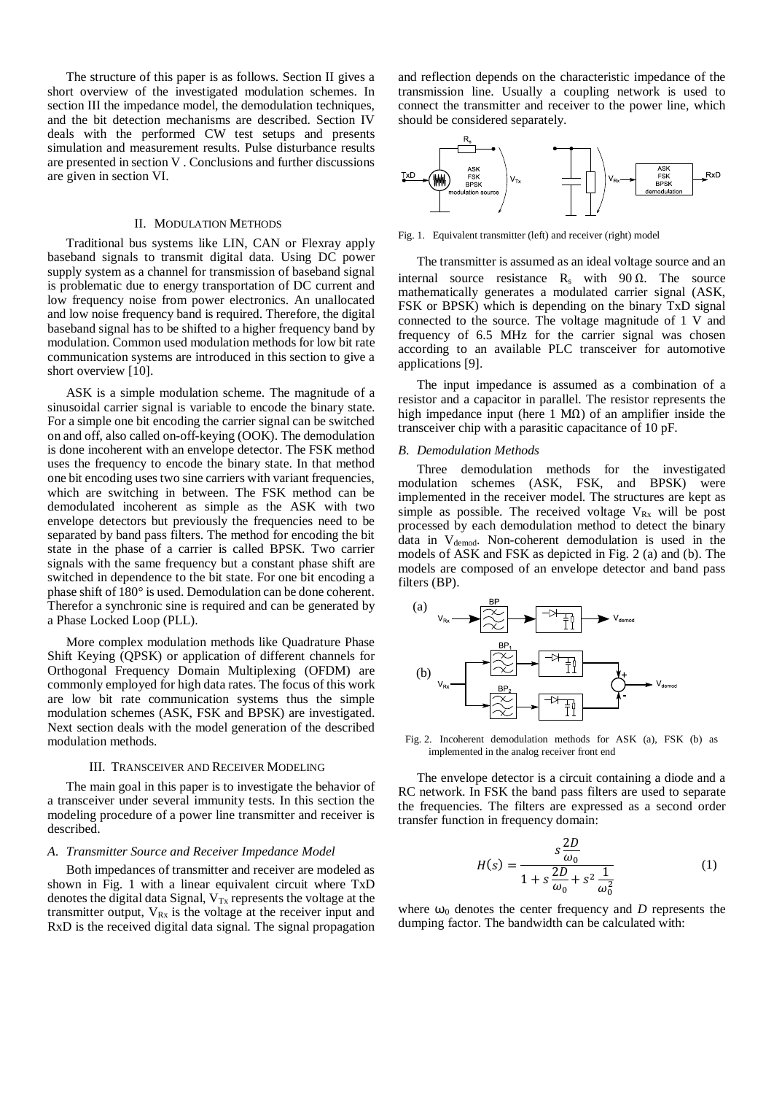The structure of this paper is as follows. Section [II](#page-1-0) gives a short overview of the investigated modulation schemes. In section [III](#page-1-1) the impedance model, the demodulation techniques, and the bit detection mechanisms are described. Section [IV](#page-2-0) deals with the performed CW test setups and presents simulation and measurement results. Pulse disturbance results are presented in section [V](#page-4-0) . Conclusions and further discussions are given in section [VI.](#page-5-9)

## II. MODULATION METHODS

<span id="page-1-0"></span>Traditional bus systems like LIN, CAN or Flexray apply baseband signals to transmit digital data. Using DC power supply system as a channel for transmission of baseband signal is problematic due to energy transportation of DC current and low frequency noise from power electronics. An unallocated and low noise frequency band is required. Therefore, the digital baseband signal has to be shifted to a higher frequency band by modulation. Common used modulation methods for low bit rate communication systems are introduced in this section to give a short overview [\[10\].](#page-5-10)

ASK is a simple modulation scheme. The magnitude of a sinusoidal carrier signal is variable to encode the binary state. For a simple one bit encoding the carrier signal can be switched on and off, also called on-off-keying (OOK). The demodulation is done incoherent with an envelope detector. The FSK method uses the frequency to encode the binary state. In that method one bit encoding uses two sine carriers with variant frequencies, which are switching in between. The FSK method can be demodulated incoherent as simple as the ASK with two envelope detectors but previously the frequencies need to be separated by band pass filters. The method for encoding the bit state in the phase of a carrier is called BPSK. Two carrier signals with the same frequency but a constant phase shift are switched in dependence to the bit state. For one bit encoding a phase shift of 180° is used. Demodulation can be done coherent. Therefor a synchronic sine is required and can be generated by a Phase Locked Loop (PLL).

More complex modulation methods like Quadrature Phase Shift Keying (QPSK) or application of different channels for Orthogonal Frequency Domain Multiplexing (OFDM) are commonly employed for high data rates. The focus of this work are low bit rate communication systems thus the simple modulation schemes (ASK, FSK and BPSK) are investigated. Next section deals with the model generation of the described modulation methods.

#### III. TRANSCEIVER AND RECEIVER MODELING

<span id="page-1-1"></span>The main goal in this paper is to investigate the behavior of a transceiver under several immunity tests. In this section the modeling procedure of a power line transmitter and receiver is described.

#### *A. Transmitter Source and Receiver Impedance Model*

Both impedances of transmitter and receiver are modeled as shown in [Fig. 1](#page-1-2) with a linear equivalent circuit where TxD denotes the digital data Signal,  $V_{Tx}$  represents the voltage at the transmitter output,  $V_{Rx}$  is the voltage at the receiver input and RxD is the received digital data signal. The signal propagation

and reflection depends on the characteristic impedance of the transmission line. Usually a coupling network is used to connect the transmitter and receiver to the power line, which should be considered separately.



<span id="page-1-2"></span>Fig. 1. Equivalent transmitter (left) and receiver (right) model

The transmitter is assumed as an ideal voltage source and an internal source resistance R<sub>s</sub> with 90  $\Omega$ . The source mathematically generates a modulated carrier signal (ASK, FSK or BPSK) which is depending on the binary TxD signal connected to the source. The voltage magnitude of 1 V and frequency of 6.5 MHz for the carrier signal was chosen according to an available PLC transceiver for automotive applications [\[9\].](#page-5-8)

The input impedance is assumed as a combination of a resistor and a capacitor in parallel. The resistor represents the high impedance input (here 1 MΩ) of an amplifier inside the transceiver chip with a parasitic capacitance of 10 pF.

#### *B. Demodulation Methods*

Three demodulation methods for the investigated modulation schemes (ASK, FSK, and BPSK) were implemented in the receiver model. The structures are kept as simple as possible. The received voltage  $V_{Rx}$  will be post processed by each demodulation method to detect the binary data in V<sub>demod</sub>. Non-coherent demodulation is used in the models of ASK and FSK as depicted in [Fig. 2](#page-1-3) (a) and (b). The models are composed of an envelope detector and band pass filters (BP).



<span id="page-1-3"></span>Fig. 2. Incoherent demodulation methods for ASK (a), FSK (b) as implemented in the analog receiver front end

The envelope detector is a circuit containing a diode and a RC network. In FSK the band pass filters are used to separate the frequencies. The filters are expressed as a second order transfer function in frequency domain:

$$
H(s) = \frac{s \frac{2D}{\omega_0}}{1 + s \frac{2D}{\omega_0} + s^2 \frac{1}{\omega_0^2}}
$$
 (1)

where  $\omega_0$  denotes the center frequency and *D* represents the dumping factor. The bandwidth can be calculated with: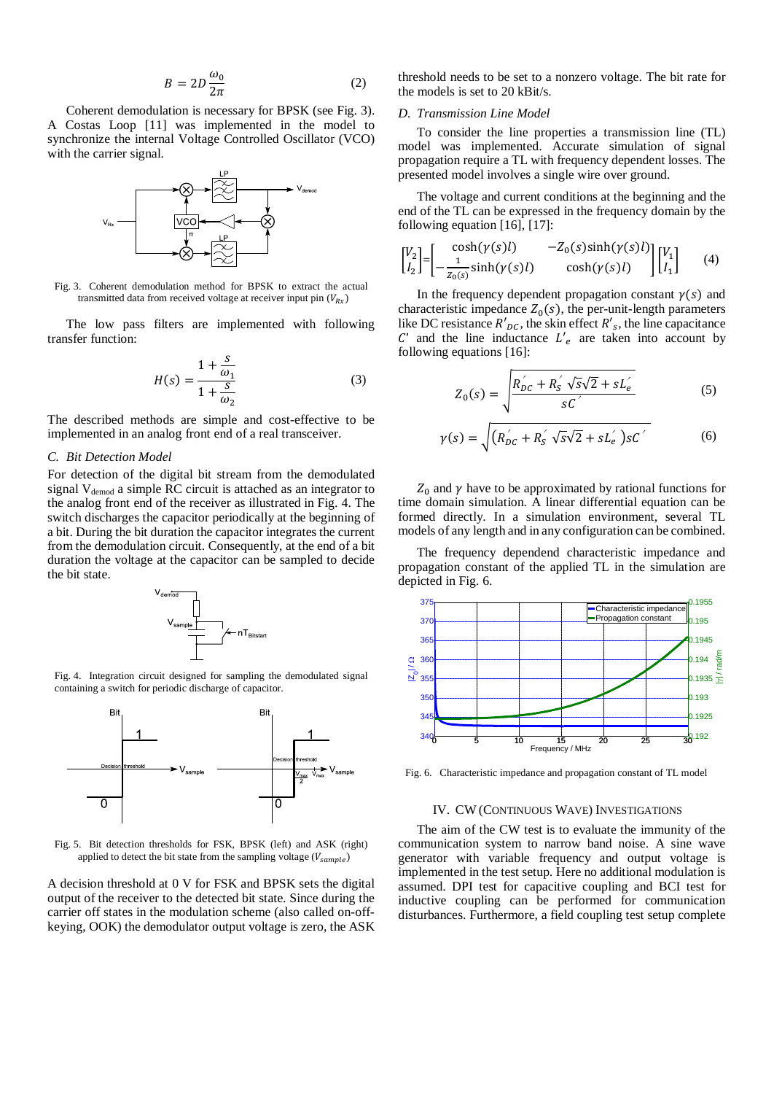$$
B = 2D \frac{\omega_0}{2\pi} \tag{2}
$$

Coherent demodulation is necessary for BPSK (see [Fig. 3\)](#page-2-1). A Costas Loop [\[11\]](#page-5-11) was implemented in the model to synchronize the internal Voltage Controlled Oscillator (VCO) with the carrier signal.



<span id="page-2-1"></span>Fig. 3. Coherent demodulation method for BPSK to extract the actual transmitted data from received voltage at receiver input pin  $(V_{Rx})$ 

The low pass filters are implemented with following transfer function:

$$
H(s) = \frac{1 + \frac{s}{\omega_1}}{1 + \frac{s}{\omega_2}}
$$
 (3)

The described methods are simple and cost-effective to be implemented in an analog front end of a real transceiver.

## *C. Bit Detection Model*

For detection of the digital bit stream from the demodulated signal V<sub>demod</sub> a simple RC circuit is attached as an integrator to the analog front end of the receiver as illustrated in [Fig. 4.](#page-2-2) The switch discharges the capacitor periodically at the beginning of a bit. During the bit duration the capacitor integrates the current from the demodulation circuit. Consequently, at the end of a bit duration the voltage at the capacitor can be sampled to decide the bit state.



<span id="page-2-2"></span>Fig. 4. Integration circuit designed for sampling the demodulated signal containing a switch for periodic discharge of capacitor.



Fig. 5. Bit detection thresholds for FSK, BPSK (left) and ASK (right) applied to detect the bit state from the sampling voltage ( $V_{sample}$ )

A decision threshold at 0 V for FSK and BPSK sets the digital output of the receiver to the detected bit state. Since during the carrier off states in the modulation scheme (also called on-offkeying, OOK) the demodulator output voltage is zero, the ASK threshold needs to be set to a nonzero voltage. The bit rate for the models is set to 20 kBit/s.

### *D. Transmission Line Model*

To consider the line properties a transmission line (TL) model was implemented. Accurate simulation of signal propagation require a TL with frequency dependent losses. The presented model involves a single wire over ground.

The voltage and current conditions at the beginning and the end of the TL can be expressed in the frequency domain by the following equation [\[16\],](#page-5-12) [\[17\]:](#page-5-13)

$$
\begin{bmatrix} V_2 \\ I_2 \end{bmatrix} = \begin{bmatrix} \cosh(\gamma(s)l) & -Z_0(s)\sinh(\gamma(s)l) \\ -\frac{1}{Z_0(s)}\sinh(\gamma(s)l) & \cosh(\gamma(s)l) \end{bmatrix} \begin{bmatrix} V_1 \\ I_1 \end{bmatrix} \tag{4}
$$

In the frequency dependent propagation constant  $\gamma(s)$  and characteristic impedance  $Z_0(s)$ , the per-unit-length parameters like DC resistance  $R'_{DC}$ , the skin effect  $R'_{S}$ , the line capacitance  $C'$  and the line inductance  $L'_e$  are taken into account by following equations [\[16\]:](#page-5-12)

$$
Z_0(s) = \sqrt{\frac{R_{DC}^{'}}{sC} + R_S^{'}} \frac{\sqrt{s}\sqrt{2} + sL_e^{'}}{sC^{'}}
$$
 (5)

$$
\gamma(s) = \sqrt{(R_{DC}^{'} + R_{S}^{'} \sqrt{s}\sqrt{2} + sL_{e}^{'} )sC'}
$$
 (6)

 $Z_0$  and  $\gamma$  have to be approximated by rational functions for time domain simulation. A linear differential equation can be formed directly. In a simulation environment, several TL models of any length and in any configuration can be combined.

The frequency dependend characteristic impedance and propagation constant of the applied TL in the simulation are depicted in [Fig. 6.](#page-2-3)



<span id="page-2-3"></span><span id="page-2-0"></span>Fig. 6. Characteristic impedance and propagation constant of TL model

#### IV. CW (CONTINUOUS WAVE) INVESTIGATIONS

The aim of the CW test is to evaluate the immunity of the communication system to narrow band noise. A sine wave generator with variable frequency and output voltage is implemented in the test setup. Here no additional modulation is assumed. DPI test for capacitive coupling and BCI test for inductive coupling can be performed for communication disturbances. Furthermore, a field coupling test setup complete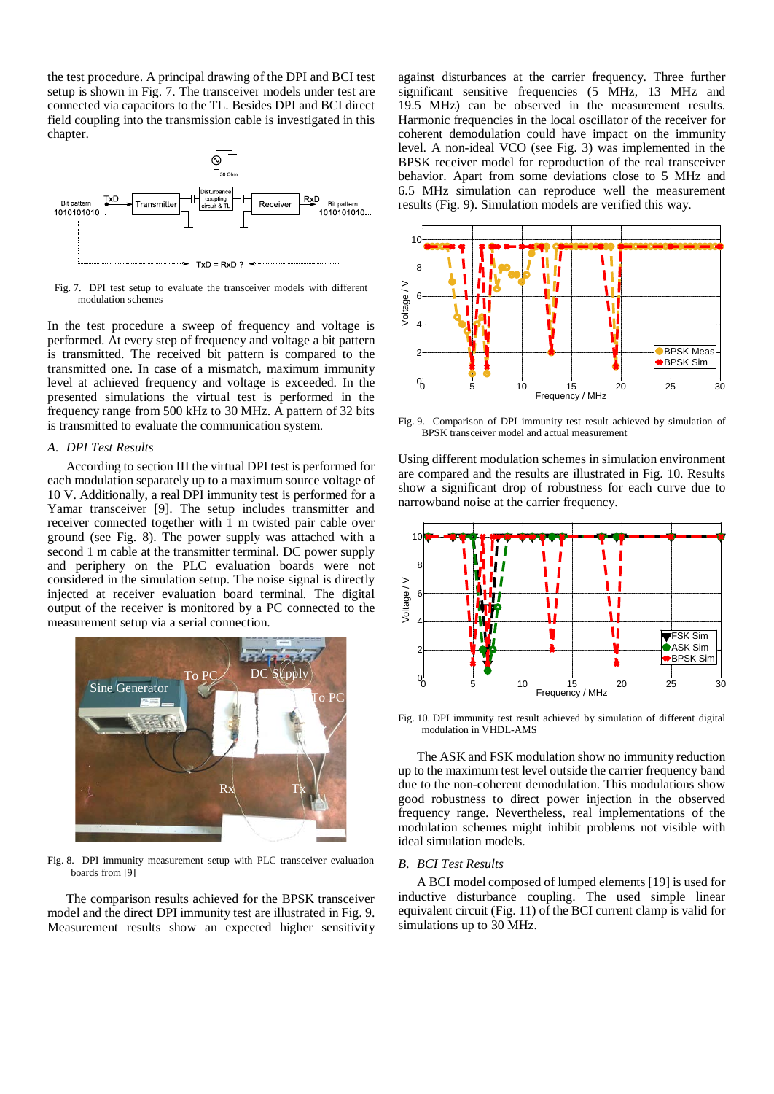the test procedure. A principal drawing of the DPI and BCI test setup is shown in [Fig. 7.](#page-3-0) The transceiver models under test are connected via capacitors to the TL. Besides DPI and BCI direct field coupling into the transmission cable is investigated in this chapter.



<span id="page-3-0"></span>Fig. 7. DPI test setup to evaluate the transceiver models with different modulation schemes

In the test procedure a sweep of frequency and voltage is performed. At every step of frequency and voltage a bit pattern is transmitted. The received bit pattern is compared to the transmitted one. In case of a mismatch, maximum immunity level at achieved frequency and voltage is exceeded. In the presented simulations the virtual test is performed in the frequency range from 500 kHz to 30 MHz. A pattern of 32 bits is transmitted to evaluate the communication system.

## *A. DPI Test Results*

According to section [III](#page-1-1) the virtual DPI test is performed for each modulation separately up to a maximum source voltage of 10 V. Additionally, a real DPI immunity test is performed for a Yamar transceiver [\[9\].](#page-5-8) The setup includes transmitter and receiver connected together with 1 m twisted pair cable over ground (see [Fig. 8\)](#page-3-1). The power supply was attached with a second 1 m cable at the transmitter terminal. DC power supply and periphery on the PLC evaluation boards were not considered in the simulation setup. The noise signal is directly injected at receiver evaluation board terminal. The digital output of the receiver is monitored by a PC connected to the measurement setup via a serial connection.



Fig. 8. DPI immunity measurement setup with PLC transceiver evaluation boards fro[m \[9\]](#page-5-8)

<span id="page-3-1"></span>The comparison results achieved for the BPSK transceiver model and the direct DPI immunity test are illustrated in [Fig. 9.](#page-3-2) Measurement results show an expected higher sensitivity

against disturbances at the carrier frequency. Three further significant sensitive frequencies (5 MHz, 13 MHz and 19.5 MHz) can be observed in the measurement results. Harmonic frequencies in the local oscillator of the receiver for coherent demodulation could have impact on the immunity level. A non-ideal VCO (see [Fig. 3\)](#page-2-1) was implemented in the BPSK receiver model for reproduction of the real transceiver behavior. Apart from some deviations close to 5 MHz and 6.5 MHz simulation can reproduce well the measurement results (Fig. 9). Simulation models are verified this way.



<span id="page-3-2"></span>Fig. 9. Comparison of DPI immunity test result achieved by simulation of BPSK transceiver model and actual measurement

Using different modulation schemes in simulation environment are compared and the results are illustrated in [Fig. 10.](#page-3-3) Results show a significant drop of robustness for each curve due to narrowband noise at the carrier frequency.



<span id="page-3-3"></span>Fig. 10. DPI immunity test result achieved by simulation of different digital modulation in VHDL-AMS

The ASK and FSK modulation show no immunity reduction up to the maximum test level outside the carrier frequency band due to the non-coherent demodulation. This modulations show good robustness to direct power injection in the observed frequency range. Nevertheless, real implementations of the modulation schemes might inhibit problems not visible with ideal simulation models.

#### *B. BCI Test Results*

A BCI model composed of lumped elements [\[19\]](#page-5-14) is used for inductive disturbance coupling. The used simple linear equivalent circuit (Fig. 11) of the BCI current clamp is valid for simulations up to 30 MHz.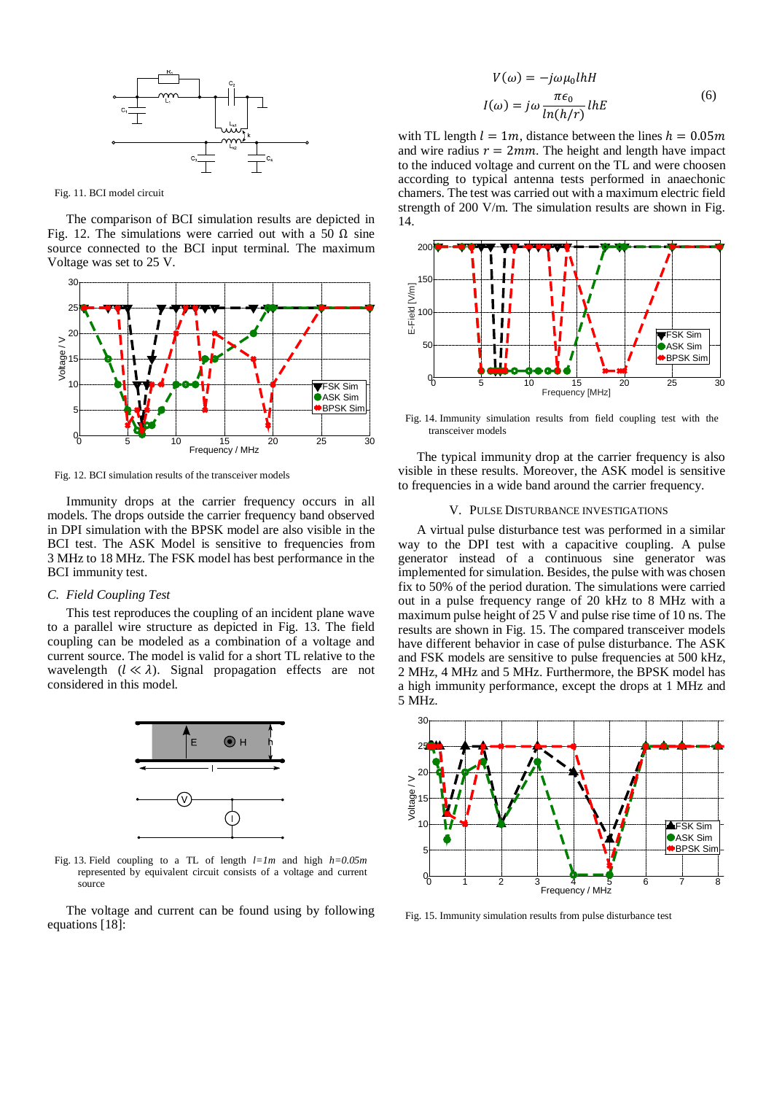

Fig. 11. BCI model circuit

The comparison of BCI simulation results are depicted in [Fig. 12.](#page-4-1) The simulations were carried out with a 50  $\Omega$  sine source connected to the BCI input terminal. The maximum Voltage was set to 25 V.



<span id="page-4-1"></span>Fig. 12. BCI simulation results of the transceiver models

Immunity drops at the carrier frequency occurs in all models. The drops outside the carrier frequency band observed in DPI simulation with the BPSK model are also visible in the BCI test. The ASK Model is sensitive to frequencies from 3 MHz to 18 MHz. The FSK model has best performance in the BCI immunity test.

## *C. Field Coupling Test*

This test reproduces the coupling of an incident plane wave to a parallel wire structure as depicted in [Fig. 13.](#page-4-2) The field coupling can be modeled as a combination of a voltage and current source. The model is valid for a short TL relative to the wavelength  $(l \ll \lambda)$ . Signal propagation effects are not considered in this model.



<span id="page-4-2"></span>Fig. 13. Field coupling to a TL of length *l=1m* and high *h=0.05m* represented by equivalent circuit consists of a voltage and current source

The voltage and current can be found using by following equations [\[18\]:](#page-5-15)

$$
V(\omega) = -j\omega\mu_0 l h H
$$
  

$$
I(\omega) = j\omega \frac{\pi \epsilon_0}{\ln(h/r)} l h E
$$
 (6)

with TL length  $l = 1m$ , distance between the lines  $h = 0.05m$ and wire radius  $r = 2mm$ . The height and length have impact to the induced voltage and current on the TL and were choosen according to typical antenna tests performed in anaechonic chamers. The test was carried out with a maximum electric field strength of 200 V/m. The simulation results are shown in [Fig.](#page-4-3)  [14.](#page-4-3)



<span id="page-4-3"></span>Fig. 14. Immunity simulation results from field coupling test with the transceiver models

The typical immunity drop at the carrier frequency is also visible in these results. Moreover, the ASK model is sensitive to frequencies in a wide band around the carrier frequency.

### V. PULSE DISTURBANCE INVESTIGATIONS

<span id="page-4-0"></span>A virtual pulse disturbance test was performed in a similar way to the DPI test with a capacitive coupling. A pulse generator instead of a continuous sine generator was implemented for simulation. Besides, the pulse with was chosen fix to 50% of the period duration. The simulations were carried out in a pulse frequency range of 20 kHz to 8 MHz with a maximum pulse height of 25 V and pulse rise time of 10 ns. The results are shown in [Fig. 15.](#page-4-4) The compared transceiver models have different behavior in case of pulse disturbance. The ASK and FSK models are sensitive to pulse frequencies at 500 kHz, 2 MHz, 4 MHz and 5 MHz. Furthermore, the BPSK model has a high immunity performance, except the drops at 1 MHz and 5 MHz.



<span id="page-4-4"></span>Fig. 15. Immunity simulation results from pulse disturbance test